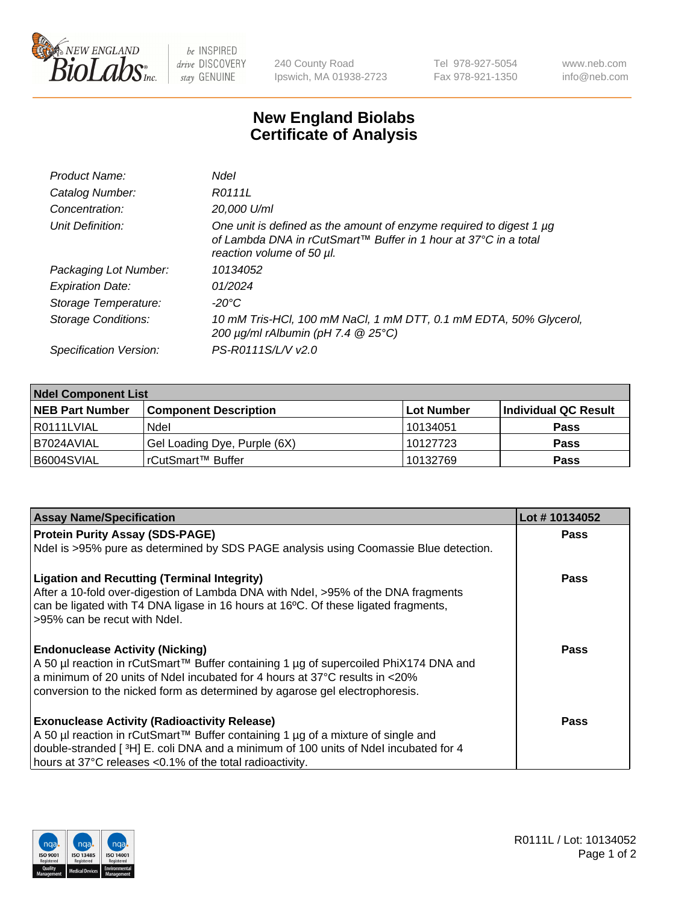

 $be$  INSPIRED drive DISCOVERY stay GENUINE

240 County Road Ipswich, MA 01938-2723 Tel 978-927-5054 Fax 978-921-1350 www.neb.com info@neb.com

## **New England Biolabs Certificate of Analysis**

| Product Name:           | Ndel                                                                                                                                                                |
|-------------------------|---------------------------------------------------------------------------------------------------------------------------------------------------------------------|
| Catalog Number:         | R0111L                                                                                                                                                              |
| Concentration:          | 20,000 U/ml                                                                                                                                                         |
| Unit Definition:        | One unit is defined as the amount of enzyme required to digest 1 µg<br>of Lambda DNA in rCutSmart™ Buffer in 1 hour at 37°C in a total<br>reaction volume of 50 µl. |
| Packaging Lot Number:   | 10134052                                                                                                                                                            |
| <b>Expiration Date:</b> | 01/2024                                                                                                                                                             |
| Storage Temperature:    | -20°C                                                                                                                                                               |
| Storage Conditions:     | 10 mM Tris-HCl, 100 mM NaCl, 1 mM DTT, 0.1 mM EDTA, 50% Glycerol,<br>200 µg/ml rAlbumin (pH 7.4 @ 25°C)                                                             |
| Specification Version:  | PS-R0111S/L/V v2.0                                                                                                                                                  |
|                         |                                                                                                                                                                     |

| <b>Ndel Component List</b> |                              |            |                      |  |  |
|----------------------------|------------------------------|------------|----------------------|--|--|
| <b>NEB Part Number</b>     | <b>Component Description</b> | Lot Number | Individual QC Result |  |  |
| I R0111LVIAL               | Ndel                         | 10134051   | <b>Pass</b>          |  |  |
| B7024AVIAL                 | Gel Loading Dye, Purple (6X) | 10127723   | <b>Pass</b>          |  |  |
| B6004SVIAL                 | rCutSmart™ Buffer            | 10132769   | <b>Pass</b>          |  |  |

| <b>Assay Name/Specification</b>                                                                                                                                                                                                                                                                              | Lot #10134052 |
|--------------------------------------------------------------------------------------------------------------------------------------------------------------------------------------------------------------------------------------------------------------------------------------------------------------|---------------|
| <b>Protein Purity Assay (SDS-PAGE)</b>                                                                                                                                                                                                                                                                       | <b>Pass</b>   |
| Ndel is >95% pure as determined by SDS PAGE analysis using Coomassie Blue detection.                                                                                                                                                                                                                         |               |
| <b>Ligation and Recutting (Terminal Integrity)</b><br>After a 10-fold over-digestion of Lambda DNA with Ndel, >95% of the DNA fragments<br>can be ligated with T4 DNA ligase in 16 hours at 16°C. Of these ligated fragments,<br>>95% can be recut with Ndel.                                                | <b>Pass</b>   |
| <b>Endonuclease Activity (Nicking)</b><br>A 50 µl reaction in rCutSmart™ Buffer containing 1 µg of supercoiled PhiX174 DNA and<br>a minimum of 20 units of Ndel incubated for 4 hours at $37^{\circ}$ C results in $\lt 20\%$<br>conversion to the nicked form as determined by agarose gel electrophoresis. | Pass          |
| <b>Exonuclease Activity (Radioactivity Release)</b><br>A 50 µl reaction in rCutSmart™ Buffer containing 1 µg of a mixture of single and<br>double-stranded [3H] E. coli DNA and a minimum of 100 units of Ndel incubated for 4<br>hours at 37°C releases <0.1% of the total radioactivity.                   | Pass          |